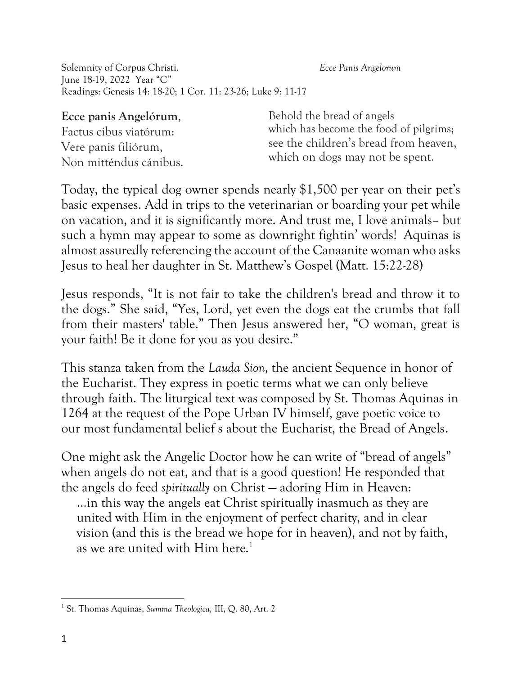Solemnity of Corpus Christi. *Ecce Panis Angelorum* June 18-19, 2022 Year "C" Readings: Genesis 14: 18-20; 1 Cor. 11: 23-26; Luke 9: 11-17

**Ecce panis Angelórum**,

Factus cibus viatórum: Vere panis filiórum, Non mitténdus cánibus.

Behold the bread of angels which has become the food of pilgrims; see the children's bread from heaven, which on dogs may not be spent.

Today, the typical dog owner spends nearly \$1,500 per year on their pet's basic expenses. Add in trips to the veterinarian or boarding your pet while on vacation, and it is significantly more. And trust me, I love animals– but such a hymn may appear to some as downright fightin' words! Aquinas is almost assuredly referencing the account of the Canaanite woman who asks Jesus to heal her daughter in St. Matthew's Gospel (Matt. 15:22-28)

Jesus responds, "It is not fair to take the children's bread and throw it to the dogs." She said, "Yes, Lord, yet even the dogs eat the crumbs that fall from their masters' table." Then Jesus answered her, "O woman, great is your faith! Be it done for you as you desire."

This stanza taken from the *Lauda Sion*, the ancient Sequence in honor of the Eucharist. They express in poetic terms what we can only believe through faith. The liturgical text was composed by St. Thomas Aquinas in 1264 at the request of the Pope Urban IV himself, gave poetic voice to our most fundamental belief s about the Eucharist, the Bread of Angels.

One might ask the Angelic Doctor how he can write of "bread of angels" when angels do not eat, and that is a good question! He responded that the angels do feed *spiritually* on Christ — adoring Him in Heaven:

…in this way the angels eat Christ spiritually inasmuch as they are united with Him in the enjoyment of perfect charity, and in clear vision (and this is the bread we hope for in heaven), and not by faith, as we are united with Him here.<sup>1</sup>

<sup>1</sup> St. Thomas Aquinas, *Summa Theologica,* III, Q. 80, Art. 2